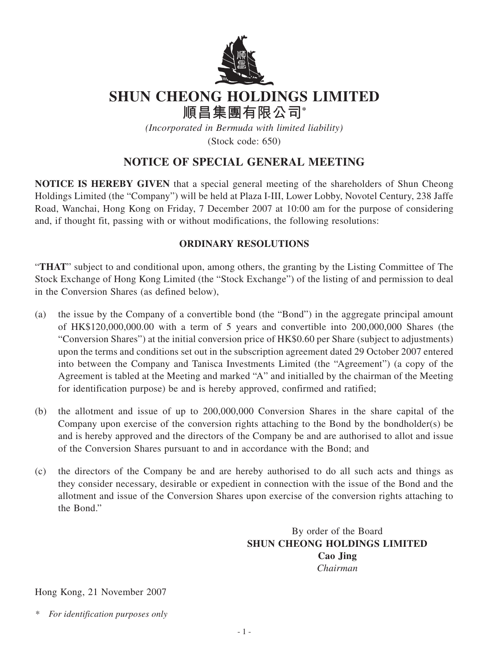

## **SHUN CHEONG HOLDINGS LIMITED**

**順昌集團有限公司\***

*(Incorporated in Bermuda with limited liability)*

(Stock code: 650)

## **NOTICE OF SPECIAL GENERAL MEETING**

**NOTICE IS HEREBY GIVEN** that a special general meeting of the shareholders of Shun Cheong Holdings Limited (the "Company") will be held at Plaza I-III, Lower Lobby, Novotel Century, 238 Jaffe Road, Wanchai, Hong Kong on Friday, 7 December 2007 at 10:00 am for the purpose of considering and, if thought fit, passing with or without modifications, the following resolutions:

## **ORDINARY RESOLUTIONS**

"**THAT**" subject to and conditional upon, among others, the granting by the Listing Committee of The Stock Exchange of Hong Kong Limited (the "Stock Exchange") of the listing of and permission to deal in the Conversion Shares (as defined below),

- (a) the issue by the Company of a convertible bond (the "Bond") in the aggregate principal amount of HK\$120,000,000.00 with a term of 5 years and convertible into 200,000,000 Shares (the "Conversion Shares") at the initial conversion price of HK\$0.60 per Share (subject to adjustments) upon the terms and conditions set out in the subscription agreement dated 29 October 2007 entered into between the Company and Tanisca Investments Limited (the "Agreement") (a copy of the Agreement is tabled at the Meeting and marked "A" and initialled by the chairman of the Meeting for identification purpose) be and is hereby approved, confirmed and ratified;
- (b) the allotment and issue of up to 200,000,000 Conversion Shares in the share capital of the Company upon exercise of the conversion rights attaching to the Bond by the bondholder(s) be and is hereby approved and the directors of the Company be and are authorised to allot and issue of the Conversion Shares pursuant to and in accordance with the Bond; and
- (c) the directors of the Company be and are hereby authorised to do all such acts and things as they consider necessary, desirable or expedient in connection with the issue of the Bond and the allotment and issue of the Conversion Shares upon exercise of the conversion rights attaching to the Bond."

By order of the Board **SHUN CHEONG HOLDINGS LIMITED Cao Jing** *Chairman*

Hong Kong, 21 November 2007

*\* For identification purposes only*